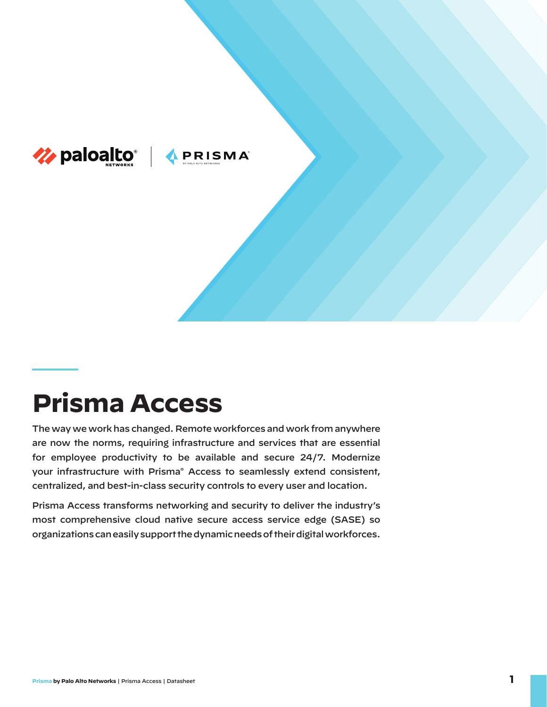

# **Prisma Access**

The way we work has changed. Remote workforces and work from anywhere are now the norms, requiring infrastructure and services that are essential for employee productivity to be available and secure 24/7. Modernize your infrastructure with Prisma® Access to seamlessly extend consistent, centralized, and best-in-class security controls to every user and location.

Prisma Access transforms networking and security to deliver the industry's most comprehensive cloud native secure access service edge (SASE) so organizations can easily support the dynamic needs of their digital workforces.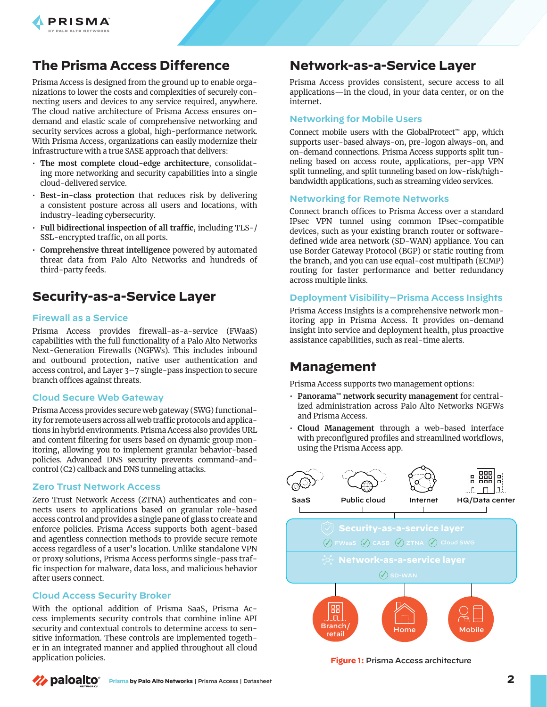

## **The Prisma Access Difference**

Prisma Access is designed from the ground up to enable organizations to lower the costs and complexities of securely connecting users and devices to any service required, anywhere. The cloud native architecture of Prisma Access ensures ondemand and elastic scale of comprehensive networking and security services across a global, high-performance network. With Prisma Access, organizations can easily modernize their infrastructure with a true SASE approach that delivers:

- **The most complete cloud-edge architecture**, consolidating more networking and security capabilities into a single cloud-delivered service.
- **Best-in-class protection** that reduces risk by delivering a consistent posture across all users and locations, with industry-leading cybersecurity.
- **Full bidirectional inspection of all traffic**, including TLS-/ SSL-encrypted traffic, on all ports.
- **Comprehensive threat intelligence** powered by automated threat data from Palo Alto Networks and hundreds of third-party feeds.

## **Security-as-a-Service Layer**

#### **Firewall as a Service**

Prisma Access provides firewall-as-a-service (FWaaS) capabilities with the full functionality of a Palo Alto Networks Next-Generation Firewalls (NGFWs). This includes inbound and outbound protection, native user authentication and access control, and Layer 3–7 single-pass inspection to secure branch offices against threats.

#### **Cloud Secure Web Gateway**

Prisma Access provides secure web gateway (SWG) functionality for remote users across all web traffic protocols and applications in hybrid environments. Prisma Access also provides URL and content filtering for users based on dynamic group monitoring, allowing you to implement granular behavior-based policies. Advanced DNS security prevents command-andcontrol (C2) callback and DNS tunneling attacks.

#### **Zero Trust Network Access**

Zero Trust Network Access (ZTNA) authenticates and connects users to applications based on granular role-based access control and provides a single pane of glass to create and enforce policies. Prisma Access supports both agent-based and agentless connection methods to provide secure remote access regardless of a user's location. Unlike standalone VPN or proxy solutions, Prisma Access performs single-pass traffic inspection for malware, data loss, and malicious behavior after users connect.

#### **Cloud Access Security Broker**

With the optional addition of Prisma SaaS, Prisma Access implements security controls that combine inline API security and contextual controls to determine access to sensitive information. These controls are implemented together in an integrated manner and applied throughout all cloud application policies.

## **Network-as-a-Service Layer**

Prisma Access provides consistent, secure access to all applications—in the cloud, in your data center, or on the internet.

#### **Networking for Mobile Users**

Connect mobile users with the GlobalProtect™ app, which supports user-based always-on, pre-logon always-on, and on-demand connections. Prisma Access supports split tunneling based on access route, applications, per-app VPN split tunneling, and split tunneling based on low-risk/highbandwidth applications, such as streaming video services.

#### **Networking for Remote Networks**

Connect branch offices to Prisma Access over a standard IPsec VPN tunnel using common IPsec-compatible devices, such as your existing branch router or softwaredefined wide area network (SD-WAN) appliance. You can use Border Gateway Protocol (BGP) or static routing from the branch, and you can use equal-cost multipath (ECMP) routing for faster performance and better redundancy across multiple links.

#### **Deployment Visibility—Prisma Access Insights**

Prisma Access Insights is a comprehensive network monitoring app in Prisma Access. It provides on-demand insight into service and deployment health, plus proactive assistance capabilities, such as real-time alerts.

### **Management**

Prisma Access supports two management options:

- **Panorama™ network security management** for centralized administration across Palo Alto Networks NGFWs and Prisma Access.
- **Cloud Management** through a web-based interface with preconfigured profiles and streamlined workflows, using the Prisma Access app.



**Figure 1:** Prisma Access architecture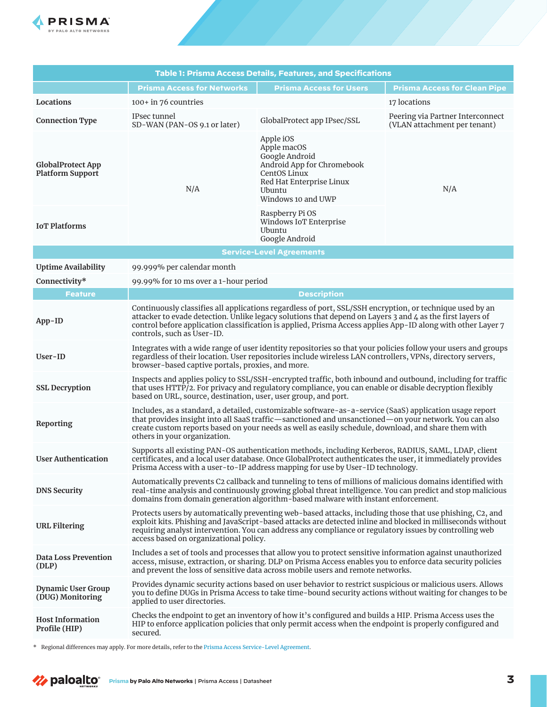

| <b>Table 1: Prisma Access Details, Features, and Specifications</b> |                                                                                                                                                                                                                                                                                                                                                                             |                                                                                                                                                      |                                                                  |
|---------------------------------------------------------------------|-----------------------------------------------------------------------------------------------------------------------------------------------------------------------------------------------------------------------------------------------------------------------------------------------------------------------------------------------------------------------------|------------------------------------------------------------------------------------------------------------------------------------------------------|------------------------------------------------------------------|
|                                                                     | <b>Prisma Access for Networks</b>                                                                                                                                                                                                                                                                                                                                           | <b>Prisma Access for Users</b>                                                                                                                       | <b>Prisma Access for Clean Pipe</b>                              |
| Locations                                                           | 100+ in 76 countries                                                                                                                                                                                                                                                                                                                                                        |                                                                                                                                                      | 17 locations                                                     |
| <b>Connection Type</b>                                              | IPsec tunnel<br>SD-WAN (PAN-OS 9.1 or later)                                                                                                                                                                                                                                                                                                                                | GlobalProtect app IPsec/SSL                                                                                                                          | Peering via Partner Interconnect<br>(VLAN attachment per tenant) |
| <b>GlobalProtect App</b><br><b>Platform Support</b>                 | N/A                                                                                                                                                                                                                                                                                                                                                                         | Apple iOS<br>Apple macOS<br>Google Android<br>Android App for Chromebook<br>CentOS Linux<br>Red Hat Enterprise Linux<br>Ubuntu<br>Windows 10 and UWP | N/A                                                              |
| <b>IoT</b> Platforms                                                |                                                                                                                                                                                                                                                                                                                                                                             | Raspberry Pi OS<br>Windows IoT Enterprise<br><b>Ubuntu</b><br>Google Android                                                                         |                                                                  |
| <b>Service-Level Agreements</b>                                     |                                                                                                                                                                                                                                                                                                                                                                             |                                                                                                                                                      |                                                                  |
| <b>Uptime Availability</b>                                          | 99.999% per calendar month                                                                                                                                                                                                                                                                                                                                                  |                                                                                                                                                      |                                                                  |
| Connectivity*                                                       | 99.99% for 10 ms over a 1-hour period                                                                                                                                                                                                                                                                                                                                       |                                                                                                                                                      |                                                                  |
| <b>Feature</b>                                                      | <b>Description</b>                                                                                                                                                                                                                                                                                                                                                          |                                                                                                                                                      |                                                                  |
| $App-ID$                                                            | Continuously classifies all applications regardless of port, SSL/SSH encryption, or technique used by an<br>attacker to evade detection. Unlike legacy solutions that depend on Layers 3 and 4 as the first layers of<br>control before application classification is applied, Prisma Access applies App-ID along with other Layer 7<br>controls, such as User-ID.          |                                                                                                                                                      |                                                                  |
| User-ID                                                             | Integrates with a wide range of user identity repositories so that your policies follow your users and groups<br>regardless of their location. User repositories include wireless LAN controllers, VPNs, directory servers,<br>browser-based captive portals, proxies, and more.                                                                                            |                                                                                                                                                      |                                                                  |
| <b>SSL Decryption</b>                                               | Inspects and applies policy to SSL/SSH-encrypted traffic, both inbound and outbound, including for traffic<br>that uses HTTP/2. For privacy and regulatory compliance, you can enable or disable decryption flexibly<br>based on URL, source, destination, user, user group, and port.                                                                                      |                                                                                                                                                      |                                                                  |
| Reporting                                                           | Includes, as a standard, a detailed, customizable software-as-a-service (SaaS) application usage report<br>that provides insight into all SaaS traffic—sanctioned and unsanctioned—on your network. You can also<br>create custom reports based on your needs as well as easily schedule, download, and share them with<br>others in your organization.                     |                                                                                                                                                      |                                                                  |
| <b>User Authentication</b>                                          | Supports all existing PAN-OS authentication methods, including Kerberos, RADIUS, SAML, LDAP, client<br>certificates, and a local user database. Once GlobalProtect authenticates the user, it immediately provides<br>Prisma Access with a user-to-IP address mapping for use by User-ID technology.                                                                        |                                                                                                                                                      |                                                                  |
| <b>DNS Security</b>                                                 | Automatically prevents C2 callback and tunneling to tens of millions of malicious domains identified with<br>real-time analysis and continuously growing global threat intelligence. You can predict and stop malicious<br>domains from domain generation algorithm-based malware with instant enforcement.                                                                 |                                                                                                                                                      |                                                                  |
| <b>URL Filtering</b>                                                | Protects users by automatically preventing web-based attacks, including those that use phishing, C2, and<br>exploit kits. Phishing and JavaScript-based attacks are detected inline and blocked in milliseconds without<br>requiring analyst intervention. You can address any compliance or regulatory issues by controlling web<br>access based on organizational policy. |                                                                                                                                                      |                                                                  |
| <b>Data Loss Prevention</b><br>(DLP)                                | Includes a set of tools and processes that allow you to protect sensitive information against unauthorized<br>access, misuse, extraction, or sharing. DLP on Prisma Access enables you to enforce data security policies<br>and prevent the loss of sensitive data across mobile users and remote networks.                                                                 |                                                                                                                                                      |                                                                  |
| <b>Dynamic User Group</b><br>(DUG) Monitoring                       | Provides dynamic security actions based on user behavior to restrict suspicious or malicious users. Allows<br>you to define DUGs in Prisma Access to take time-bound security actions without waiting for changes to be<br>applied to user directories.                                                                                                                     |                                                                                                                                                      |                                                                  |
| <b>Host Information</b><br>Profile (HIP)                            | Checks the endpoint to get an inventory of how it's configured and builds a HIP. Prisma Access uses the<br>HIP to enforce application policies that only permit access when the endpoint is properly configured and<br>secured.                                                                                                                                             |                                                                                                                                                      |                                                                  |

\* Regional differences may apply. For more details, refer to the [Prisma Access Service-Level Agreement](https://www.paloaltonetworks.com/content/dam/pan/en_US/assets/pdf/datasheets/support/prisma-access-service-sla.pdf).